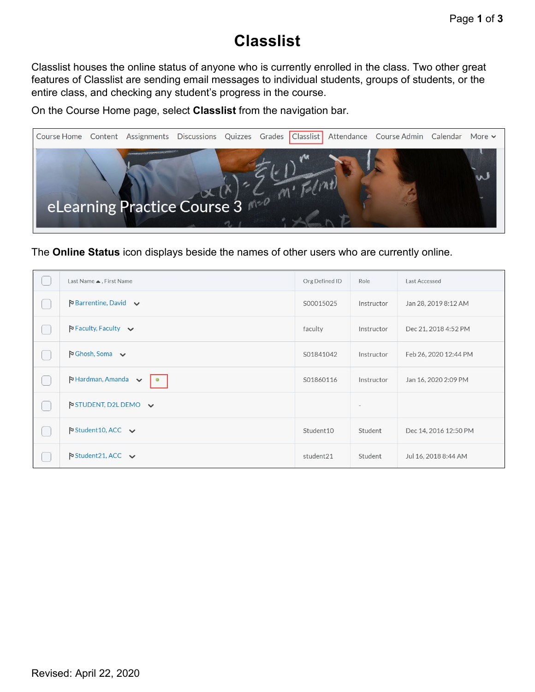## **Classlist**

Classlist houses the online status of anyone who is currently enrolled in the class. Two other great features of Classlist are sending email messages to individual students, groups of students, or the entire class, and checking any student's progress in the course.

On the Course Home page, select **Classlist** from the navigation bar.



The **Online Status** icon displays beside the names of other users who are currently online.

|     | Last Name ▲, First Name                                        | Org Defined ID | Role                     | Last Accessed         |
|-----|----------------------------------------------------------------|----------------|--------------------------|-----------------------|
|     | $\triangleright$ Barrentine, David $\triangleright$            | S00015025      | Instructor               | Jan 28, 2019 8:12 AM  |
|     | $P$ Faculty, Faculty $\vee$                                    | faculty        | Instructor               | Dec 21, 2018 4:52 PM  |
|     | $\triangleright$ Ghosh, Soma $\triangleright$                  | S01841042      | Instructor               | Feb 26, 2020 12:44 PM |
|     | $\triangleright$ Hardman, Amanda $\triangleright$<br>$\bullet$ | S01860116      | Instructor               | Jan 16, 2020 2:09 PM  |
| e e | $\triangleright$ STUDENT, D2L DEMO $\triangleright$            |                | $\overline{\phantom{a}}$ |                       |
|     | $\triangleright$ Student 10, ACC $\triangleright$              | Student10      | Student                  | Dec 14, 2016 12:50 PM |
|     | $\triangleright$ Student 21, ACC $\triangleright$              | student21      | Student                  | Jul 16, 2018 8:44 AM  |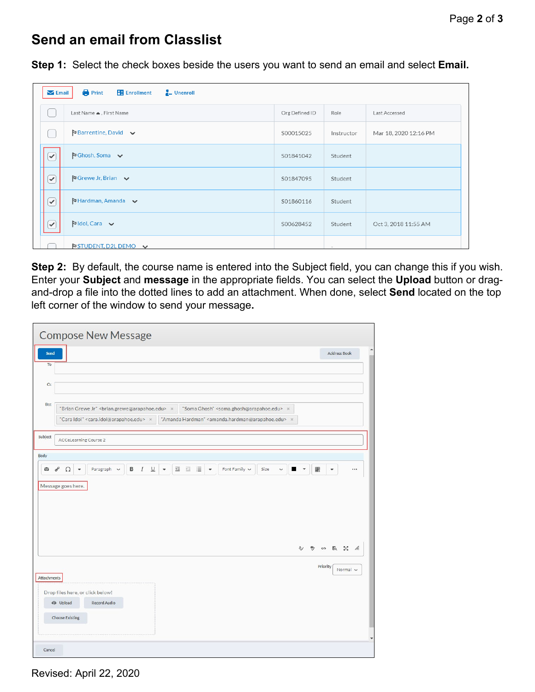## **Send an email from Classlist**

**Step 1:** Select the check boxes beside the users you want to send an email and select **Email.**

| <b>Print</b><br><b>Enrollment</b><br>$\frac{1}{2}$ Unenroll<br>$\blacktriangleright$ Email |                                                                    |           |            |                       |  |  |  |  |  |  |
|--------------------------------------------------------------------------------------------|--------------------------------------------------------------------|-----------|------------|-----------------------|--|--|--|--|--|--|
|                                                                                            | Last Name ▲, First Name<br>Last Accessed<br>Org Defined ID<br>Role |           |            |                       |  |  |  |  |  |  |
|                                                                                            | $\blacktriangleright$ Barrentine, David $\blacktriangleright$      | S00015025 | Instructor | Mar 18, 2020 12:16 PM |  |  |  |  |  |  |
| $\overline{\checkmark}$                                                                    | $\blacktriangleright$ Ghosh, Soma $\blacktriangleright$            | S01841042 | Student    |                       |  |  |  |  |  |  |
| $\curvearrowright$                                                                         | $\blacktriangleright$ Grewe Jr, Brian $\blacktriangleright$        | S01847095 | Student    |                       |  |  |  |  |  |  |
| $\curvearrowright$                                                                         | $\blacktriangleright$ Hardman, Amanda $\blacktriangleright$        | S01860116 | Student    |                       |  |  |  |  |  |  |
| ✓                                                                                          | $P$ Idol, Cara $\vee$                                              | S00628452 | Student    | Oct 3, 2018 11:55 AM  |  |  |  |  |  |  |
|                                                                                            | <b>NSTUDENT, D2L DEMO <math>\vee</math></b>                        |           | $\sim$     |                       |  |  |  |  |  |  |

**Step 2:** By default, the course name is entered into the Subject field, you can change this if you wish. Enter your **Subject** and **message** in the appropriate fields. You can select the **Upload** button or dragand-drop a file into the dotted lines to add an attachment. When done, select **Send** located on the top left corner of the window to send your message**.**

| To          | Send                                                |                                                                          |   |                    |                     |         |                                                                                |      |              |                               |                  | <b>Address Book</b>           |          |
|-------------|-----------------------------------------------------|--------------------------------------------------------------------------|---|--------------------|---------------------|---------|--------------------------------------------------------------------------------|------|--------------|-------------------------------|------------------|-------------------------------|----------|
|             |                                                     |                                                                          |   |                    |                     |         |                                                                                |      |              |                               |                  |                               |          |
| Cc          |                                                     |                                                                          |   |                    |                     |         |                                                                                |      |              |                               |                  |                               |          |
|             |                                                     |                                                                          |   |                    |                     |         |                                                                                |      |              |                               |                  |                               |          |
| Bcc         |                                                     | "Brian Grewe Jr" <brian.grewe@arapahoe.edu> x</brian.grewe@arapahoe.edu> |   |                    |                     |         | "Soma Ghosh" <soma.ghosh@arapahoe.edu> x</soma.ghosh@arapahoe.edu>             |      |              |                               |                  |                               |          |
|             |                                                     | "Cara Idol" <cara.idol@arapahoe.edu> x</cara.idol@arapahoe.edu>          |   |                    |                     |         | "Amanda Hardman" <amanda.hardman@arapahoe.edu> x</amanda.hardman@arapahoe.edu> |      |              |                               |                  |                               |          |
| Subject     |                                                     |                                                                          |   |                    |                     |         |                                                                                |      |              |                               |                  |                               |          |
|             | <b>ACCeLearning Course 2</b>                        |                                                                          |   |                    |                     |         |                                                                                |      |              |                               |                  |                               |          |
| Body        |                                                     |                                                                          |   |                    |                     |         |                                                                                |      |              |                               |                  |                               |          |
| G           | $\sigma^{\rho}$<br>$\Omega$<br>$\blacktriangledown$ | Paragraph v                                                              | в | $\cal I$<br>$\cup$ | $\bar{\phantom{a}}$ | 西 田 目 • | Font Family $\vee$                                                             | Size | $\checkmark$ | ■<br>$\overline{\phantom{a}}$ | 腮                |                               | $\cdots$ |
|             |                                                     |                                                                          |   |                    |                     |         |                                                                                |      |              |                               |                  |                               |          |
|             | Message goes here.                                  |                                                                          |   |                    |                     |         |                                                                                |      |              |                               |                  |                               |          |
|             |                                                     |                                                                          |   |                    |                     |         |                                                                                |      |              |                               |                  |                               |          |
|             |                                                     |                                                                          |   |                    |                     |         |                                                                                |      |              |                               |                  |                               |          |
|             |                                                     |                                                                          |   |                    |                     |         |                                                                                |      |              |                               |                  |                               |          |
|             |                                                     |                                                                          |   |                    |                     |         |                                                                                |      |              |                               |                  |                               |          |
|             |                                                     |                                                                          |   |                    |                     |         |                                                                                |      |              |                               |                  |                               |          |
|             |                                                     |                                                                          |   |                    |                     |         |                                                                                |      |              |                               |                  |                               |          |
|             |                                                     |                                                                          |   |                    |                     |         |                                                                                |      |              |                               |                  |                               |          |
|             |                                                     |                                                                          |   |                    |                     |         |                                                                                |      |              | A                             | $\mathbf{D}_{1}$ | $\omega$ to $\frac{55}{4}$ h. |          |
|             |                                                     |                                                                          |   |                    |                     |         |                                                                                |      |              |                               |                  |                               |          |
|             |                                                     |                                                                          |   |                    |                     |         |                                                                                |      |              |                               | Priority         | Normal v                      |          |
|             |                                                     |                                                                          |   |                    |                     |         |                                                                                |      |              |                               |                  |                               |          |
|             |                                                     |                                                                          |   |                    |                     |         |                                                                                |      |              |                               |                  |                               |          |
|             |                                                     |                                                                          |   |                    |                     |         |                                                                                |      |              |                               |                  |                               |          |
|             |                                                     |                                                                          |   |                    |                     |         |                                                                                |      |              |                               |                  |                               |          |
|             | Drop files here, or click below!                    |                                                                          |   |                    |                     |         |                                                                                |      |              |                               |                  |                               |          |
| Attachments | <b>ED</b> Upload                                    | Record Audio                                                             |   |                    |                     |         |                                                                                |      |              |                               |                  |                               |          |
|             |                                                     |                                                                          |   |                    |                     |         |                                                                                |      |              |                               |                  |                               |          |
|             | <b>Choose Existing</b>                              |                                                                          |   |                    |                     |         |                                                                                |      |              |                               |                  |                               |          |

Revised: April 22, 2020